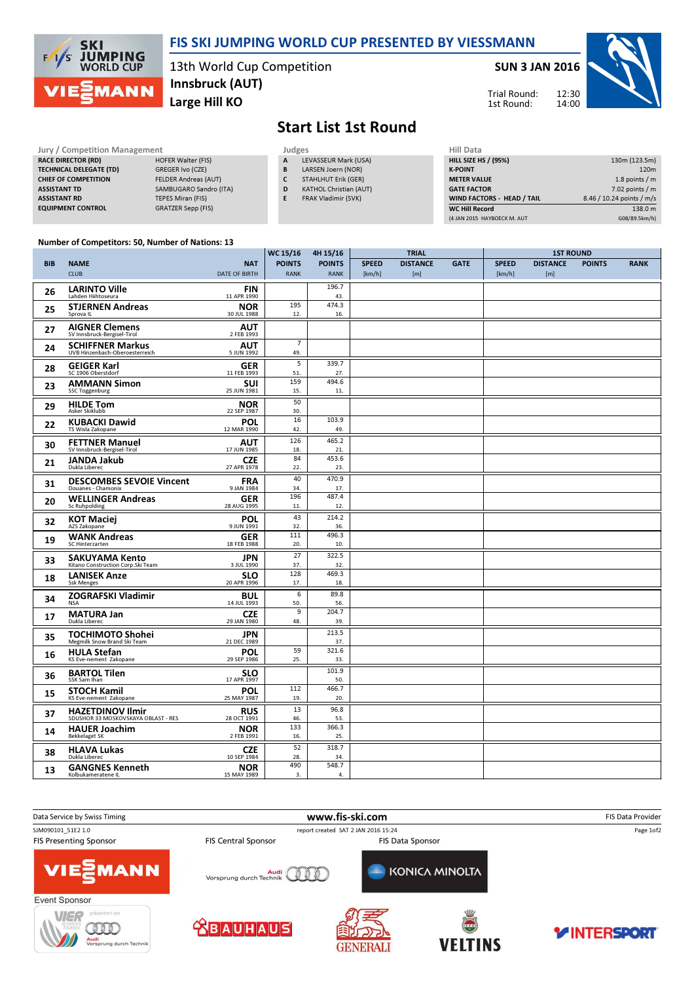

### FIS SKI JUMPING WORLD CUP PRESENTED BY VIESSMANN

13th World Cup Competition Large Hill KO Innsbruck (AUT)

#### SUN 3 JAN 2016

Trial Round: 1st Round:



# Start List 1st Round

| <b>Jury / Competition Management</b> |                             | Judges | <b>Hill Data</b>              |                    |
|--------------------------------------|-----------------------------|--------|-------------------------------|--------------------|
| <b>RACE DIRECTOR (RD)</b>            | <b>HOFER Walter (FIS)</b>   | A      | LEVASSEUR Mark (USA)          | <b>HILL SIZE H</b> |
| <b>TECHNICAL DELEGATE (TD)</b>       | GREGER Ivo (CZE)            | B      | LARSEN Joern (NOR)            | <b>K-POINT</b>     |
| <b>CHIEF OF COMPETITION</b>          | <b>FELDER Andreas (AUT)</b> |        | STAHLHUT Erik (GER)           | <b>METER VAI</b>   |
| <b>ASSISTANT TD</b>                  | SAMBUGARO Sandro (ITA)      | D      | <b>KATHOL Christian (AUT)</b> | <b>GATE FACT</b>   |
| <b>ASSISTANT RD</b>                  | TEPES Miran (FIS)           |        | FRAK Vladimir (SVK)           | <b>WIND FACT</b>   |
| <b>EQUIPMENT CONTROL</b>             | <b>GRATZER Sepp (FIS)</b>   |        |                               | <b>WC Hill Reg</b> |

| Hill Data                   |                           |
|-----------------------------|---------------------------|
| <b>HILL SIZE HS / (95%)</b> | 130m (123.5m)             |
| <b>K-POINT</b>              | 120 <sub>m</sub>          |
| <b>METER VALUE</b>          | 1.8 points $/m$           |
| <b>GATE FACTOR</b>          | $7.02$ points / m         |
| WIND FACTORS - HEAD / TAIL  | 8.46 / 10.24 points / m/s |
| <b>WC Hill Record</b>       | 138.0 m                   |
| (4 JAN 2015 HAYBOECK M. AUT | G08/89.5km/h)             |

#### Number of Competitors: 50, Number of Nations: 13

|            |                                                             |                           | WC 15/16              | 4H 15/16      | <b>TRIAL</b> |                 |             | <b>1ST ROUND</b> |                 |               |             |
|------------|-------------------------------------------------------------|---------------------------|-----------------------|---------------|--------------|-----------------|-------------|------------------|-----------------|---------------|-------------|
| <b>BIB</b> | <b>NAME</b>                                                 | <b>NAT</b>                | <b>POINTS</b>         | <b>POINTS</b> | <b>SPEED</b> | <b>DISTANCE</b> | <b>GATE</b> | <b>SPEED</b>     | <b>DISTANCE</b> | <b>POINTS</b> | <b>RANK</b> |
|            | <b>CLUB</b>                                                 | <b>DATE OF BIRTH</b>      | <b>RANK</b>           | <b>RANK</b>   | [km/h]       | [m]             |             | [km/h]           | [m]             |               |             |
| 26         | <b>LARINTO Ville</b>                                        | FIN                       |                       | 196.7         |              |                 |             |                  |                 |               |             |
|            | Lahden Hiihtoseura                                          | 11 APR 1990               | 195                   | 43.<br>474.3  |              |                 |             |                  |                 |               |             |
| 25         | <b>STJERNEN Andreas</b><br>Sprova IL                        | <b>NOR</b><br>30 JUL 1988 | 12.                   | 16.           |              |                 |             |                  |                 |               |             |
|            | <b>AIGNER Clemens</b>                                       | <b>AUT</b>                |                       |               |              |                 |             |                  |                 |               |             |
| 27         | SV Innsbruck-Bergisel-Tirol                                 | 2 FEB 1993                |                       |               |              |                 |             |                  |                 |               |             |
| 24         | <b>SCHIFFNER Markus</b><br>UVB Hinzenbach-Oberoesterreich   | <b>AUT</b><br>5 JUN 1992  | $\overline{7}$<br>49. |               |              |                 |             |                  |                 |               |             |
| 28         | <b>GEIGER Karl</b><br>SC 1906 Oberstdorf                    | <b>GER</b><br>11 FEB 1993 | 5<br>51.              | 339.7<br>27.  |              |                 |             |                  |                 |               |             |
|            | <b>AMMANN Simon</b>                                         | SUI                       | 159                   | 494.6         |              |                 |             |                  |                 |               |             |
| 23         | <b>SSC Toggenburg</b>                                       | 25 JUN 1981               | 15.                   | 11.           |              |                 |             |                  |                 |               |             |
| 29         | <b>HILDE Tom</b><br>Asker Skiklubb                          | <b>NOR</b><br>22 SEP 1987 | 50<br>30.             |               |              |                 |             |                  |                 |               |             |
| 22         | <b>KUBACKI Dawid</b>                                        | <b>POL</b>                | 16                    | 103.9         |              |                 |             |                  |                 |               |             |
|            | TS Wisla Zakopane                                           | 12 MAR 1990               | 42.                   | 49.           |              |                 |             |                  |                 |               |             |
| 30         | <b>FETTNER Manuel</b><br>SV Innsbruck-Bergisel-Tirol        | <b>AUT</b><br>17 JUN 1985 | 126<br>18.            | 465.2<br>21.  |              |                 |             |                  |                 |               |             |
| 21         | <b>JANDA Jakub</b>                                          | <b>CZE</b>                | 84                    | 453.6         |              |                 |             |                  |                 |               |             |
|            | Dukla Liberec                                               | 27 APR 1978               | 22.                   | 23.           |              |                 |             |                  |                 |               |             |
| 31         | <b>DESCOMBES SEVOIE Vincent</b><br>Douanes - Chamonix       | <b>FRA</b><br>9 JAN 1984  | 40<br>34.             | 470.9<br>17.  |              |                 |             |                  |                 |               |             |
| 20         | <b>WELLINGER Andreas</b>                                    | <b>GER</b>                | 196                   | 487.4         |              |                 |             |                  |                 |               |             |
|            | <b>Sc Ruhpolding</b>                                        | 28 AUG 1995               | 11.                   | 12.           |              |                 |             |                  |                 |               |             |
| 32         | <b>KOT Maciej</b><br>AZS Zakopane                           | <b>POL</b><br>9 JUN 1991  | 43<br>32.             | 214.2<br>36.  |              |                 |             |                  |                 |               |             |
| 19         | <b>WANK Andreas</b>                                         | <b>GER</b>                | 111                   | 496.3         |              |                 |             |                  |                 |               |             |
|            | SC Hinterzarten                                             | 18 FEB 1988               | 20.<br>27             | 10.<br>322.5  |              |                 |             |                  |                 |               |             |
| 33         | <b>SAKUYAMA Kento</b><br>Kitano Construction Corp. Ski Team | <b>JPN</b><br>3 JUL 1990  | 37.                   | 32.           |              |                 |             |                  |                 |               |             |
| 18         | <b>LANISEK Anze</b>                                         | <b>SLO</b>                | 128                   | 469.3         |              |                 |             |                  |                 |               |             |
|            | <b>Ssk Menges</b>                                           | 20 APR 1996               | 17.                   | 18.           |              |                 |             |                  |                 |               |             |
| 34         | <b>ZOGRAFSKI Vladimir</b><br><b>NSA</b>                     | <b>BUL</b><br>14 JUL 1993 | 6<br>50.              | 89.8<br>56.   |              |                 |             |                  |                 |               |             |
| 17         | <b>MATURA Jan</b>                                           | <b>CZE</b>                | 9                     | 204.7         |              |                 |             |                  |                 |               |             |
|            | Dukla Liberec                                               | 29 JAN 1980               | 48.                   | 39.           |              |                 |             |                  |                 |               |             |
| 35         | <b>TOCHIMOTO Shohei</b><br>Megmilk Snow Brand Ski Team      | <b>JPN</b><br>21 DEC 1989 |                       | 213.5<br>37.  |              |                 |             |                  |                 |               |             |
| 16         | <b>HULA Stefan</b><br>KS Eve-nement Zakopane                | <b>POL</b><br>29 SEP 1986 | 59<br>25.             | 321.6<br>33.  |              |                 |             |                  |                 |               |             |
|            | <b>BARTOL Tilen</b>                                         | <b>SLO</b>                |                       | 101.9         |              |                 |             |                  |                 |               |             |
| 36         | SSK Sam Ihan                                                | 17 APR 1997               |                       | 50.           |              |                 |             |                  |                 |               |             |
| 15         | <b>STOCH Kamil</b><br>KS Eve-nement Zakopane                | <b>POL</b><br>25 MAY 1987 | 112<br>19.            | 466.7<br>20.  |              |                 |             |                  |                 |               |             |
|            | <b>HAZETDINOV Ilmir</b>                                     | <b>RUS</b>                | 13                    | 96.8          |              |                 |             |                  |                 |               |             |
| 37         | SDUSHOR 33 MOSKOVSKAYA OBLAST - RES                         | 28 OCT 1991               | 46.                   | 53.           |              |                 |             |                  |                 |               |             |
| 14         | <b>HAUER Joachim</b><br><b>Bekkelaget SK</b>                | <b>NOR</b><br>2 FEB 1991  | 133<br>16.            | 366.3<br>25.  |              |                 |             |                  |                 |               |             |
| 38         | <b>HLAVA Lukas</b>                                          | <b>CZE</b>                | 52                    | 318.7         |              |                 |             |                  |                 |               |             |
|            | Dukla Liberec                                               | 10 SEP 1984               | 28.<br>490            | 34.<br>548.7  |              |                 |             |                  |                 |               |             |
| 13         | <b>GANGNES Kenneth</b><br>Kolbukameratene IL                | <b>NOR</b><br>15 MAY 1989 | 3.                    | 4.            |              |                 |             |                  |                 |               |             |